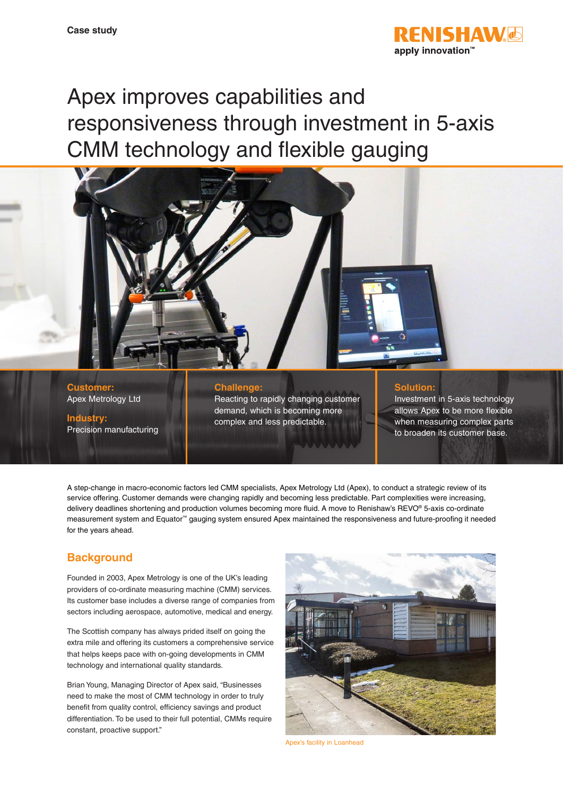

# Apex improves capabilities and responsiveness through investment in 5-axis CMM technology and flexible gauging



**Customer:** Apex Metrology Ltd

**Industry:** Precision manufacturing

#### **Challenge:**

Reacting to rapidly changing customer demand, which is becoming more complex and less predictable.

#### **Solution:**

Investment in 5-axis technology allows Apex to be more flexible when measuring complex parts to broaden its customer base.

A step-change in macro-economic factors led CMM specialists, Apex Metrology Ltd (Apex), to conduct a strategic review of its service offering. Customer demands were changing rapidly and becoming less predictable. Part complexities were increasing, delivery deadlines shortening and production volumes becoming more fluid. A move to Renishaw's REVO® 5-axis co-ordinate measurement system and Equator™ gauging system ensured Apex maintained the responsiveness and future-proofing it needed for the years ahead.

# **Background**

Founded in 2003, Apex Metrology is one of the UK's leading providers of co-ordinate measuring machine (CMM) services. Its customer base includes a diverse range of companies from sectors including aerospace, automotive, medical and energy.

The Scottish company has always prided itself on going the extra mile and offering its customers a comprehensive service that helps keeps pace with on-going developments in CMM technology and international quality standards.

Brian Young, Managing Director of Apex said, "Businesses need to make the most of CMM technology in order to truly benefit from quality control, efficiency savings and product differentiation. To be used to their full potential, CMMs require constant, proactive support."



Apex's facility in Loanhead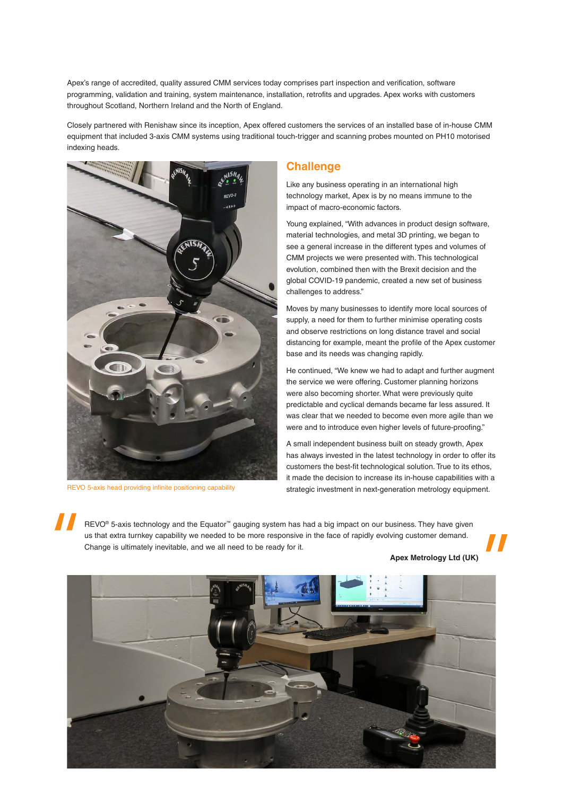Apex's range of accredited, quality assured CMM services today comprises part inspection and verification, software programming, validation and training, system maintenance, installation, retrofits and upgrades. Apex works with customers throughout Scotland, Northern Ireland and the North of England.

Closely partnered with Renishaw since its inception, Apex offered customers the services of an installed base of in-house CMM equipment that included 3-axis CMM systems using traditional touch-trigger and scanning probes mounted on PH10 motorised indexing heads.



REVO 5-axis head providing infinite positioning capability

#### **Challenge**

Like any business operating in an international high technology market, Apex is by no means immune to the impact of macro-economic factors.

Young explained, "With advances in product design software, material technologies, and metal 3D printing, we began to see a general increase in the different types and volumes of CMM projects we were presented with. This technological evolution, combined then with the Brexit decision and the global COVID-19 pandemic, created a new set of business challenges to address."

Moves by many businesses to identify more local sources of supply, a need for them to further minimise operating costs and observe restrictions on long distance travel and social distancing for example, meant the profile of the Apex customer base and its needs was changing rapidly.

He continued, "We knew we had to adapt and further augment the service we were offering. Customer planning horizons were also becoming shorter. What were previously quite predictable and cyclical demands became far less assured. It was clear that we needed to become even more agile than we were and to introduce even higher levels of future-proofing."

A small independent business built on steady growth, Apex has always invested in the latest technology in order to offer its customers the best-fit technological solution. True to its ethos, it made the decision to increase its in-house capabilities with a strategic investment in next-generation metrology equipment.

REVO<sup>®</sup> 5-axis technology and the Equator<sup>™</sup> gauging system has had a big impact on our business. They have given us that extra turnkey capability we needed to be more responsive in the face of rapidly evolving customer demand. Change is ultimately inevitable, and we all need to be ready for it.

**Apex Metrology Ltd (UK)**

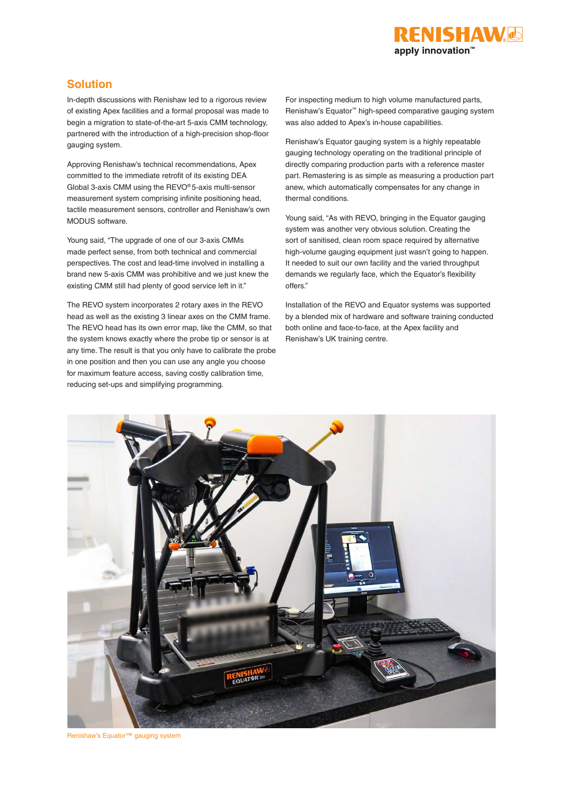

# **Solution**

In-depth discussions with Renishaw led to a rigorous review of existing Apex facilities and a formal proposal was made to begin a migration to state-of-the-art 5-axis CMM technology, partnered with the introduction of a high-precision shop-floor gauging system.

Approving Renishaw's technical recommendations, Apex committed to the immediate retrofit of its existing DEA Global 3-axis CMM using the REVO® 5-axis multi-sensor measurement system comprising infinite positioning head, tactile measurement sensors, controller and Renishaw's own MODUS software.

Young said, "The upgrade of one of our 3-axis CMMs made perfect sense, from both technical and commercial perspectives. The cost and lead-time involved in installing a brand new 5-axis CMM was prohibitive and we just knew the existing CMM still had plenty of good service left in it."

The REVO system incorporates 2 rotary axes in the REVO head as well as the existing 3 linear axes on the CMM frame. The REVO head has its own error map, like the CMM, so that the system knows exactly where the probe tip or sensor is at any time. The result is that you only have to calibrate the probe in one position and then you can use any angle you choose for maximum feature access, saving costly calibration time, reducing set-ups and simplifying programming.

For inspecting medium to high volume manufactured parts, Renishaw's Equator™ high-speed comparative gauging system was also added to Apex's in-house capabilities.

Renishaw's Equator gauging system is a highly repeatable gauging technology operating on the traditional principle of directly comparing production parts with a reference master part. Remastering is as simple as measuring a production part anew, which automatically compensates for any change in thermal conditions.

Young said, "As with REVO, bringing in the Equator gauging system was another very obvious solution. Creating the sort of sanitised, clean room space required by alternative high-volume gauging equipment just wasn't going to happen. It needed to suit our own facility and the varied throughput demands we regularly face, which the Equator's flexibility offers."

Installation of the REVO and Equator systems was supported by a blended mix of hardware and software training conducted both online and face-to-face, at the Apex facility and Renishaw's UK training centre.



Renishaw's Equator™ gauging system